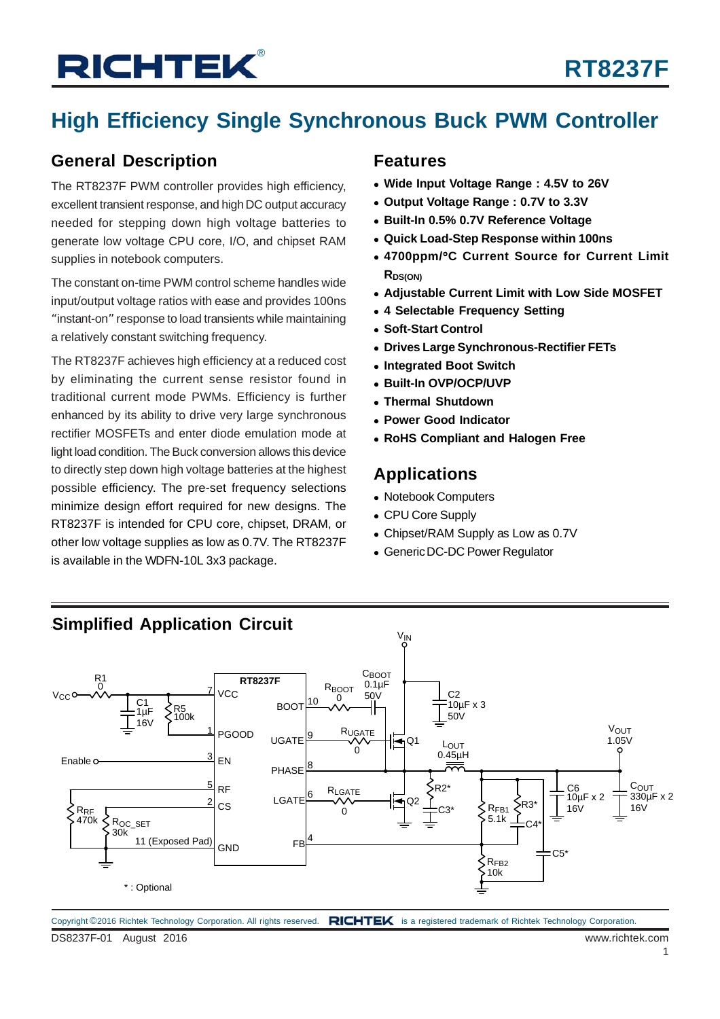## **High Efficiency Single Synchronous Buck PWM Controller**

### **General Description**

The RT8237F PWM controller provides high efficiency, excellent transient response, and high DC output accuracy needed for stepping down high voltage batteries to generate low voltage CPU core, I/O, and chipset RAM supplies in notebook computers.

The constant on-time PWM control scheme handles wide input/output voltage ratios with ease and provides 100ns "instant-on" response to load transients while maintaining a relatively constant switching frequency.

The RT8237F achieves high efficiency at a reduced cost by eliminating the current sense resistor found in traditional current mode PWMs. Efficiency is further enhanced by its ability to drive very large synchronous rectifier MOSFETs and enter diode emulation mode at light load condition. The Buck conversion allows this device to directly step down high voltage batteries at the highest possible efficiency. The pre-set frequency selections minimize design effort required for new designs. The RT8237F is intended for CPU core, chipset, DRAM, or other low voltage supplies as low as 0.7V. The RT8237F is available in the WDFN-10L 3x3 package.

#### **Features**

- **Wide Input Voltage Range : 4.5V to 26V**
- **Output Voltage Range : 0.7V to 3.3V**
- **Built-In 0.5% 0.7V Reference Voltage**
- **Quick Load-Step Response within 100ns**
- **4700ppm/**°**C Current Source for Current Limit RDS(ON)**
- **Adjustable Current Limit with Low Side MOSFET**
- **4 Selectable Frequency Setting**
- **Soft-Start Control**
- **Drives Large Synchronous-Rectifier FETs**
- **Integrated Boot Switch**
- **Built-In OVP/OCP/UVP**
- **Thermal Shutdown**
- **Power Good Indicator**
- **RoHS Compliant and Halogen Free**

### **Applications**

- Notebook Computers
- CPU Core Supply
- Chipset/RAM Supply as Low as 0.7V
- Generic DC-DC Power Regulator

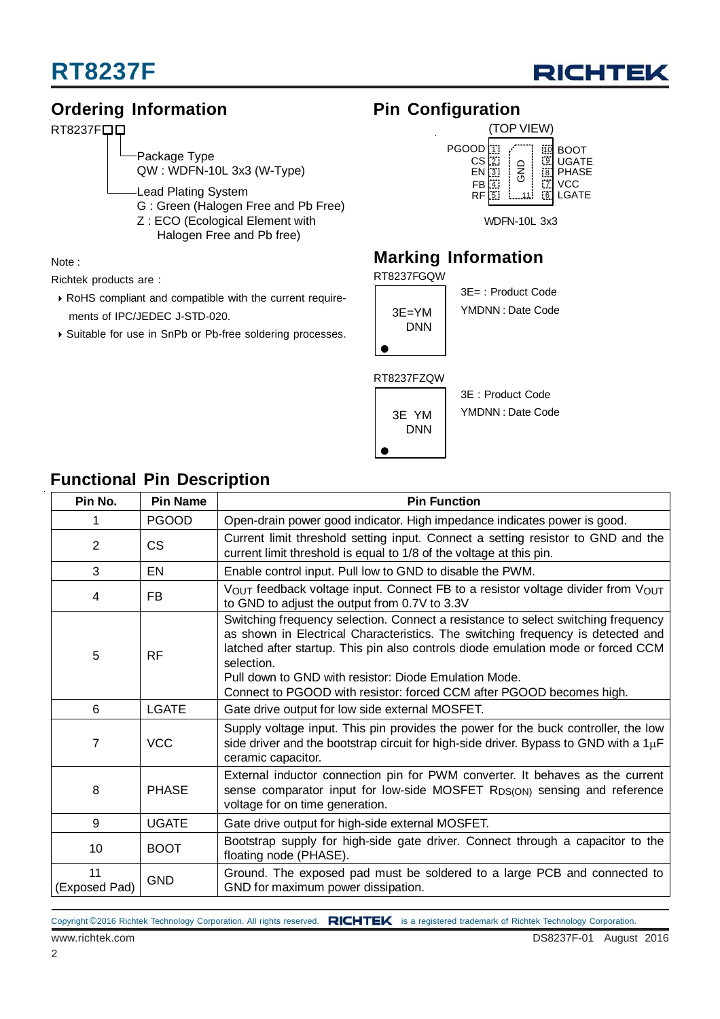

### **Ordering Information**

RT8237F<sub>D</sub>

Package Type QW : WDFN-10L 3x3 (W-Type)

Lead Plating System

- G : Green (Halogen Free and Pb Free)
- Z : ECO (Ecological Element with
- Halogen Free and Pb free)

Note :

Richtek products are :

- RoHS compliant and compatible with the current require ments of IPC/JEDEC J-STD-020.
- Suitable for use in SnPb or Pb-free soldering processes.

### **Pin Configuration**



WDFN-10L 3x3

### **Marking Information**

#### RT8237FGQW



3E= : Product Code YMDNN : Date Code

#### RT8237FZQW



3E : Product Code YMDNN : Date Code

| Pin No.             | <b>Pin Name</b> | <b>Pin Function</b>                                                                                                                                                                                                                                                                                                                                                                                     |  |  |
|---------------------|-----------------|---------------------------------------------------------------------------------------------------------------------------------------------------------------------------------------------------------------------------------------------------------------------------------------------------------------------------------------------------------------------------------------------------------|--|--|
| 1                   | <b>PGOOD</b>    | Open-drain power good indicator. High impedance indicates power is good.                                                                                                                                                                                                                                                                                                                                |  |  |
| $\overline{2}$      | <b>CS</b>       | Current limit threshold setting input. Connect a setting resistor to GND and the<br>current limit threshold is equal to 1/8 of the voltage at this pin.                                                                                                                                                                                                                                                 |  |  |
| 3                   | EN              | Enable control input. Pull low to GND to disable the PWM.                                                                                                                                                                                                                                                                                                                                               |  |  |
| 4                   | FB.             | VOUT feedback voltage input. Connect FB to a resistor voltage divider from VOUT<br>to GND to adjust the output from 0.7V to 3.3V                                                                                                                                                                                                                                                                        |  |  |
| 5                   | <b>RF</b>       | Switching frequency selection. Connect a resistance to select switching frequency<br>as shown in Electrical Characteristics. The switching frequency is detected and<br>latched after startup. This pin also controls diode emulation mode or forced CCM<br>selection.<br>Pull down to GND with resistor: Diode Emulation Mode.<br>Connect to PGOOD with resistor: forced CCM after PGOOD becomes high. |  |  |
| 6                   | <b>LGATE</b>    | Gate drive output for low side external MOSFET.                                                                                                                                                                                                                                                                                                                                                         |  |  |
| $\overline{7}$      | <b>VCC</b>      | Supply voltage input. This pin provides the power for the buck controller, the low<br>side driver and the bootstrap circuit for high-side driver. Bypass to GND with a $1\mu$ F<br>ceramic capacitor.                                                                                                                                                                                                   |  |  |
| 8                   | <b>PHASE</b>    | External inductor connection pin for PWM converter. It behaves as the current<br>sense comparator input for low-side MOSFET RDS(ON) sensing and reference<br>voltage for on time generation.                                                                                                                                                                                                            |  |  |
| 9                   | <b>UGATE</b>    | Gate drive output for high-side external MOSFET.                                                                                                                                                                                                                                                                                                                                                        |  |  |
| 10                  | <b>BOOT</b>     | Bootstrap supply for high-side gate driver. Connect through a capacitor to the<br>floating node (PHASE).                                                                                                                                                                                                                                                                                                |  |  |
| 11<br>(Exposed Pad) | <b>GND</b>      | Ground. The exposed pad must be soldered to a large PCB and connected to<br>GND for maximum power dissipation.                                                                                                                                                                                                                                                                                          |  |  |

### **Functional Pin Description**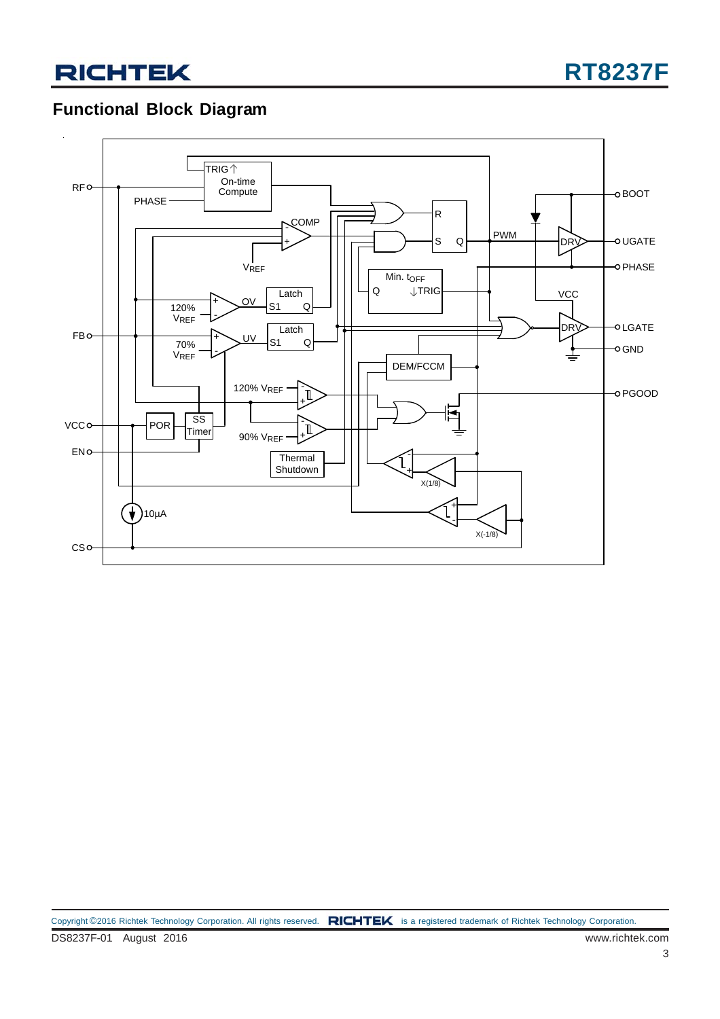### **Functional Block Diagram**

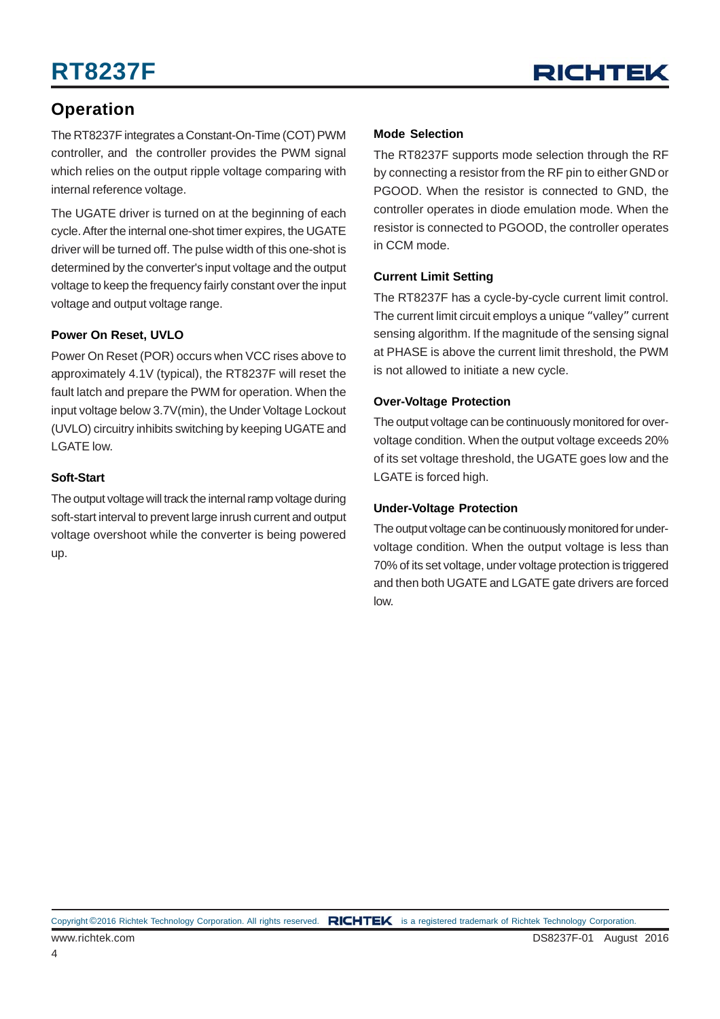## **RT8237F**

![](_page_3_Picture_1.jpeg)

### **Operation**

The RT8237F integrates a Constant-On-Time (COT) PWM controller, and the controller provides the PWM signal which relies on the output ripple voltage comparing with internal reference voltage.

The UGATE driver is turned on at the beginning of each cycle. After the internal one-shot timer expires, the UGATE driver will be turned off. The pulse width of this one-shot is determined by the converter's input voltage and the output voltage to keep the frequency fairly constant over the input voltage and output voltage range.

#### **Power On Reset, UVLO**

Power On Reset (POR) occurs when VCC rises above to approximately 4.1V (typical), the RT8237F will reset the fault latch and prepare the PWM for operation. When the input voltage below 3.7V(min), the Under Voltage Lockout (UVLO) circuitry inhibits switching by keeping UGATE and LGATE low.

#### **Soft-Start**

The output voltage will track the internal ramp voltage during soft-start interval to prevent large inrush current and output voltage overshoot while the converter is being powered up.

#### **Mode Selection**

The RT8237F supports mode selection through the RF by connecting a resistor from the RF pin to either GND or PGOOD. When the resistor is connected to GND, the controller operates in diode emulation mode. When the resistor is connected to PGOOD, the controller operates in CCM mode.

#### **Current Limit Setting**

The RT8237F has a cycle-by-cycle current limit control. The current limit circuit employs a unique "valley" current sensing algorithm. If the magnitude of the sensing signal at PHASE is above the current limit threshold, the PWM is not allowed to initiate a new cycle.

#### **Over-Voltage Protection**

The output voltage can be continuously monitored for overvoltage condition. When the output voltage exceeds 20% of its set voltage threshold, the UGATE goes low and the LGATE is forced high.

#### **Under-Voltage Protection**

The output voltage can be continuously monitored for undervoltage condition. When the output voltage is less than 70% of its set voltage, under voltage protection is triggered and then both UGATE and LGATE gate drivers are forced low.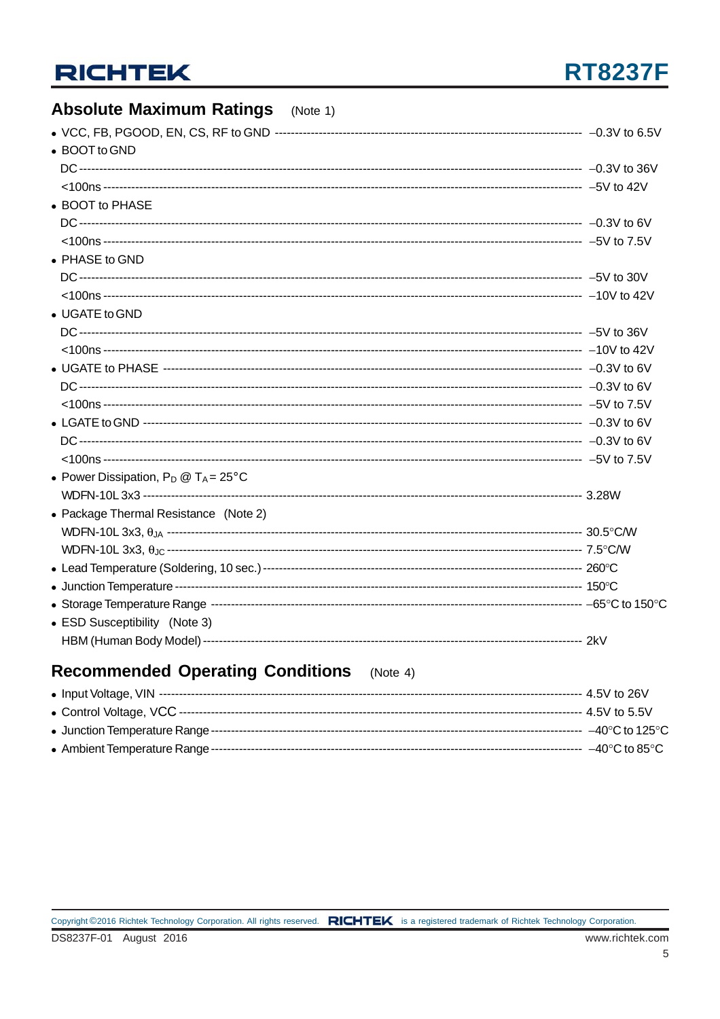## **RT8237F**

| <b>Absolute Maximum Ratings</b> (Note 1)       |  |
|------------------------------------------------|--|
|                                                |  |
| • BOOT to GND                                  |  |
|                                                |  |
|                                                |  |
| • BOOT to PHASE                                |  |
|                                                |  |
|                                                |  |
| • PHASE to GND                                 |  |
|                                                |  |
|                                                |  |
| • UGATE to GND                                 |  |
|                                                |  |
|                                                |  |
|                                                |  |
|                                                |  |
|                                                |  |
|                                                |  |
|                                                |  |
|                                                |  |
| • Power Dissipation, $P_D @ T_A = 25^{\circ}C$ |  |
|                                                |  |
| • Package Thermal Resistance (Note 2)          |  |
|                                                |  |
|                                                |  |
|                                                |  |
|                                                |  |
|                                                |  |
| • ESD Susceptibility (Note 3)                  |  |
|                                                |  |

#### **Recommended Operating Conditions** (Note 4)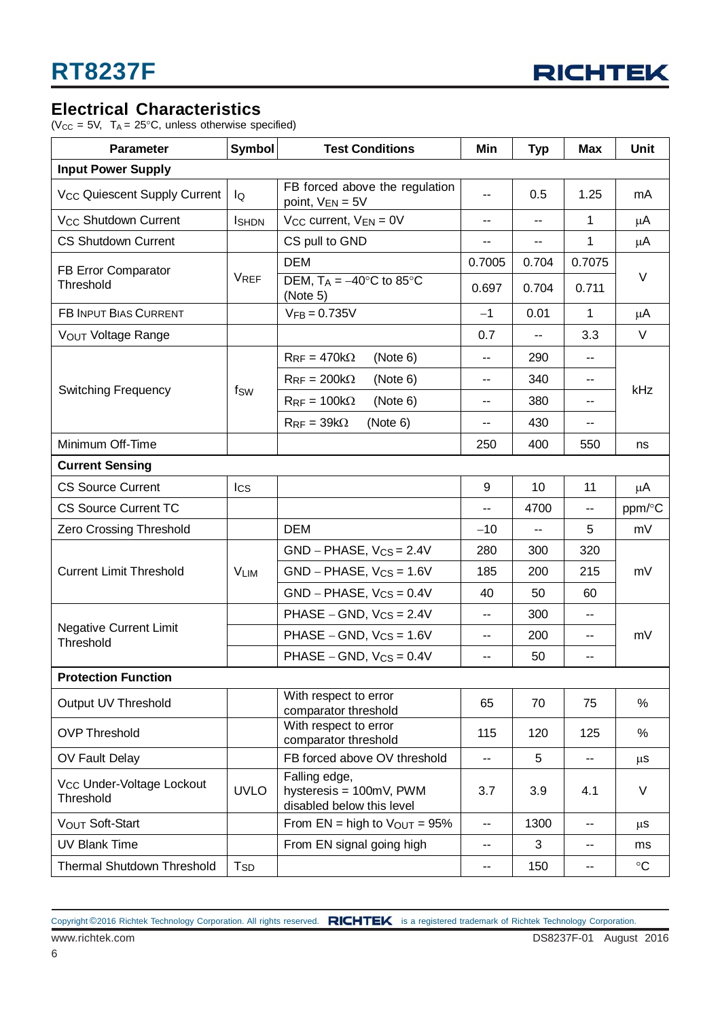![](_page_5_Picture_1.jpeg)

### **Electrical Characteristics**

( $V_{CC}$  = 5V, T<sub>A</sub> = 25°C, unless otherwise specified)

| <b>Parameter</b>                                   | Symbol                 | <b>Test Conditions</b>                                                | Min    | <b>Typ</b>   | <b>Max</b>               | Unit        |  |
|----------------------------------------------------|------------------------|-----------------------------------------------------------------------|--------|--------------|--------------------------|-------------|--|
| <b>Input Power Supply</b>                          |                        |                                                                       |        |              |                          |             |  |
| Vcc Quiescent Supply Current                       | lQ                     | FB forced above the regulation<br>point, $V_{EN} = 5V$                | ۰.     | 0.5          | 1.25                     | mA          |  |
| <b>Vcc Shutdown Current</b>                        | <b>I</b> SHDN          | $V_{CC}$ current, $V_{EN} = 0V$                                       | --     |              | 1                        | $\mu$ A     |  |
| <b>CS Shutdown Current</b>                         |                        | CS pull to GND                                                        | ۰.     | --           | $\mathbf{1}$             | μA          |  |
| FB Error Comparator                                |                        | <b>DEM</b>                                                            | 0.7005 | 0.704        | 0.7075                   | $\vee$      |  |
| Threshold                                          | <b>VREF</b>            | DEM, $T_A = -40^{\circ}C$ to 85°C<br>(Note 5)                         | 0.697  | 0.704        | 0.711                    |             |  |
| <b>FB INPUT BIAS CURRENT</b>                       |                        | $VFB = 0.735V$                                                        | $-1$   | 0.01         | $\mathbf{1}$             | $\mu$ A     |  |
| VOUT Voltage Range                                 |                        |                                                                       | 0.7    | $\mathbf{u}$ | 3.3                      | $\vee$      |  |
|                                                    |                        | $R_{RF} = 470k\Omega$<br>(Note 6)                                     | --     | 290          | --                       | kHz         |  |
|                                                    |                        | $R_{RF} = 200k\Omega$<br>(Note 6)                                     | --     | 340          | --                       |             |  |
| <b>Switching Frequency</b>                         | fsw                    | $R_{RF} = 100k\Omega$<br>(Note 6)                                     | --     | 380          | --                       |             |  |
|                                                    |                        | $R_{RF} = 39k\Omega$<br>(Note 6)                                      | --     | 430          | --                       |             |  |
| Minimum Off-Time                                   |                        |                                                                       | 250    | 400          | 550                      | ns          |  |
| <b>Current Sensing</b>                             |                        |                                                                       |        |              |                          |             |  |
| <b>CS Source Current</b>                           | Ics                    |                                                                       | 9      | 10           | 11                       | μA          |  |
| <b>CS Source Current TC</b>                        |                        |                                                                       | --     | 4700         | $\overline{\phantom{a}}$ | ppm/°C      |  |
| Zero Crossing Threshold                            |                        | <b>DEM</b>                                                            | $-10$  | $\mathbf{u}$ | 5                        | mV          |  |
|                                                    | <b>VLIM</b>            | $GND - PHASE, V_{CS} = 2.4V$                                          | 280    | 300          | 320                      | mV          |  |
| <b>Current Limit Threshold</b>                     |                        | $GND - PHASE, V_{CS} = 1.6V$                                          | 185    | 200          | 215                      |             |  |
|                                                    |                        | $GND - PHASE, V_{CS} = 0.4V$                                          | 40     | 50           | 60                       |             |  |
|                                                    |                        | PHASE $-$ GND, $V_{CS} = 2.4V$                                        | --     | 300          | --                       |             |  |
| <b>Negative Current Limit</b><br>Threshold         |                        | PHASE – GND, $V_{CS} = 1.6V$                                          | --     | 200          | --                       | mV          |  |
|                                                    |                        | PHASE – GND, $V_{CS} = 0.4V$                                          | --     | 50           | --                       |             |  |
| <b>Protection Function</b>                         |                        |                                                                       |        |              |                          |             |  |
| Output UV Threshold                                |                        | With respect to error<br>comparator threshold                         | 65     | 70           | 75                       | $\%$        |  |
| <b>OVP Threshold</b>                               |                        | With respect to error<br>comparator threshold                         | 115    | 120          | 125                      | $\%$        |  |
| OV Fault Delay                                     |                        | FB forced above OV threshold                                          | --     | 5            | --                       | $\mu$ s     |  |
| V <sub>CC</sub> Under-Voltage Lockout<br>Threshold | <b>UVLO</b>            | Falling edge,<br>hysteresis = 100mV, PWM<br>disabled below this level | 3.7    | 3.9          | 4.1                      | V           |  |
| <b>VOUT Soft-Start</b>                             |                        | From $EN = high to VOUT = 95%$                                        | --     | 1300         | --                       | $\mu$ S     |  |
| <b>UV Blank Time</b>                               |                        | From EN signal going high                                             | --     | 3            | ۰.                       | ms          |  |
| <b>Thermal Shutdown Threshold</b>                  | <b>T</b> <sub>SD</sub> |                                                                       | --     | 150          | --                       | $^{\circ}C$ |  |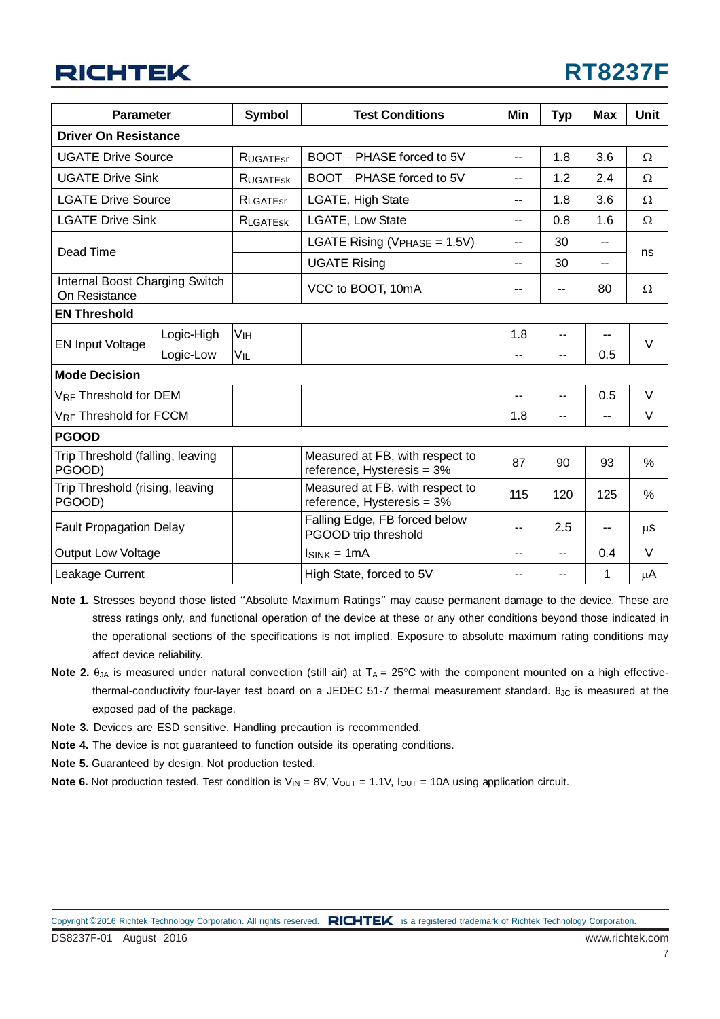| <b>Parameter</b>                                |            | <b>Symbol</b>   | <b>Test Conditions</b>                                        | Min | <b>Typ</b>               | <b>Max</b> | <b>Unit</b> |  |
|-------------------------------------------------|------------|-----------------|---------------------------------------------------------------|-----|--------------------------|------------|-------------|--|
| <b>Driver On Resistance</b>                     |            |                 |                                                               |     |                          |            |             |  |
| <b>UGATE Drive Source</b>                       |            | <b>RUGATEST</b> | BOOT - PHASE forced to 5V                                     | $-$ | 1.8                      | 3.6        | Ω           |  |
| <b>UGATE Drive Sink</b>                         |            | <b>RUGATESK</b> | BOOT - PHASE forced to 5V                                     | $-$ | 1.2                      | 2.4        | Ω           |  |
| <b>LGATE Drive Source</b>                       |            | RLGATEST        | LGATE, High State                                             | --  | 1.8                      | 3.6        | Ω           |  |
| <b>LGATE Drive Sink</b>                         |            | <b>RLGATESK</b> | LGATE, Low State                                              | $-$ | 0.8                      | 1.6        | Ω           |  |
|                                                 |            |                 | LGATE Rising ( $V_{PHASE}$ = 1.5V)                            | $-$ | 30                       | --         | ns<br>$-$   |  |
| Dead Time                                       |            |                 | <b>UGATE Rising</b>                                           | $-$ | 30                       |            |             |  |
| Internal Boost Charging Switch<br>On Resistance |            |                 | VCC to BOOT, 10mA                                             | --  | $\overline{\phantom{a}}$ | 80         | Ω           |  |
| <b>EN Threshold</b>                             |            |                 |                                                               |     |                          |            |             |  |
| <b>EN Input Voltage</b>                         | Logic-High | V <sub>IH</sub> |                                                               | 1.8 | --                       | --         | V           |  |
|                                                 | Logic-Low  | Vil             |                                                               | --  | --                       | 0.5        |             |  |
| <b>Mode Decision</b>                            |            |                 |                                                               |     |                          |            |             |  |
| <b>VRF Threshold for DEM</b>                    |            |                 |                                                               | $-$ | --                       | 0.5        | V           |  |
| <b>VRF Threshold for FCCM</b>                   |            |                 |                                                               | 1.8 | --                       | --         | V           |  |
| <b>PGOOD</b>                                    |            |                 |                                                               |     |                          |            |             |  |
| Trip Threshold (falling, leaving<br>PGOOD)      |            |                 | Measured at FB, with respect to<br>reference, Hysteresis = 3% | 87  | 90                       | 93         | $\%$        |  |
| Trip Threshold (rising, leaving<br>PGOOD)       |            |                 | Measured at FB, with respect to<br>reference, Hysteresis = 3% | 115 | 120                      | 125        | $\%$        |  |
| <b>Fault Propagation Delay</b>                  |            |                 | Falling Edge, FB forced below<br>PGOOD trip threshold         | --  | 2.5                      | --         | μS          |  |
| <b>Output Low Voltage</b>                       |            |                 | $I_{SINK} = 1mA$                                              | --  | --                       | 0.4        | V           |  |
| Leakage Current                                 |            |                 | High State, forced to 5V                                      | --  | --                       | 1          | μA          |  |

- **Note 1.** Stresses beyond those listed "Absolute Maximum Ratings" may cause permanent damage to the device. These are stress ratings only, and functional operation of the device at these or any other conditions beyond those indicated in the operational sections of the specifications is not implied. Exposure to absolute maximum rating conditions may affect device reliability.
- **Note 2.** θ<sub>JA</sub> is measured under natural convection (still air) at T<sub>A</sub> = 25°C with the component mounted on a high effectivethermal-conductivity four-layer test board on a JEDEC 51-7 thermal measurement standard.  $θ_{JC}$  is measured at the exposed pad of the package.
- **Note 3.** Devices are ESD sensitive. Handling precaution is recommended.
- **Note 4.** The device is not guaranteed to function outside its operating conditions.
- **Note 5.** Guaranteed by design. Not production tested.
- **Note 6.** Not production tested. Test condition is  $V_{IN} = 8V$ ,  $V_{OUT} = 1.1V$ ,  $I_{OUT} = 10A$  using application circuit.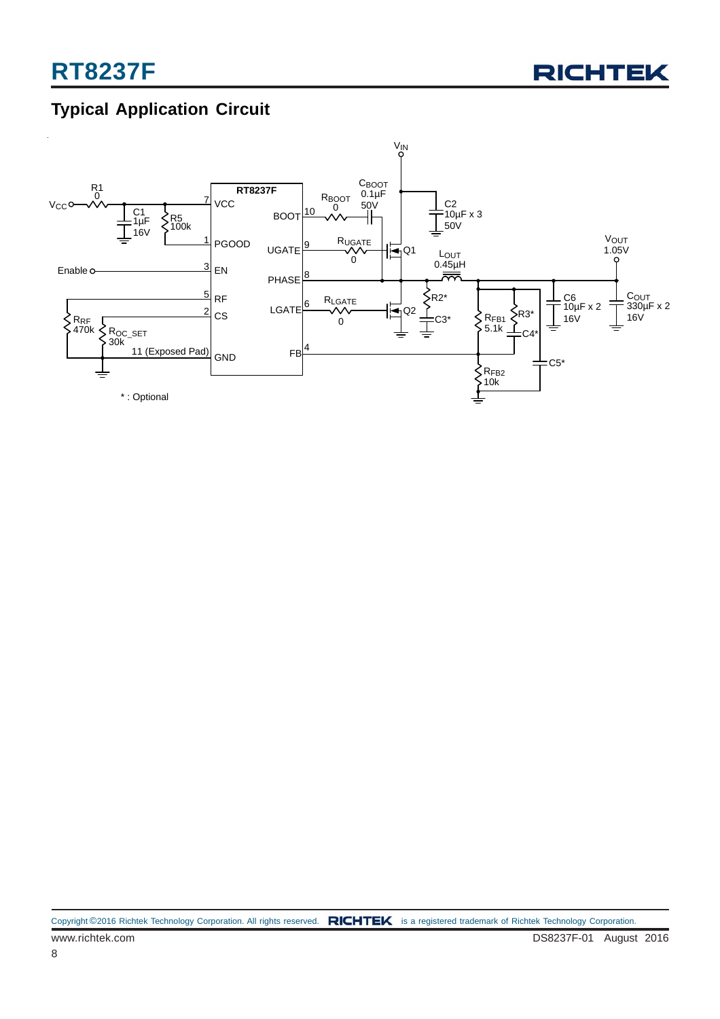![](_page_7_Picture_1.jpeg)

## **Typical Application Circuit**

![](_page_7_Figure_3.jpeg)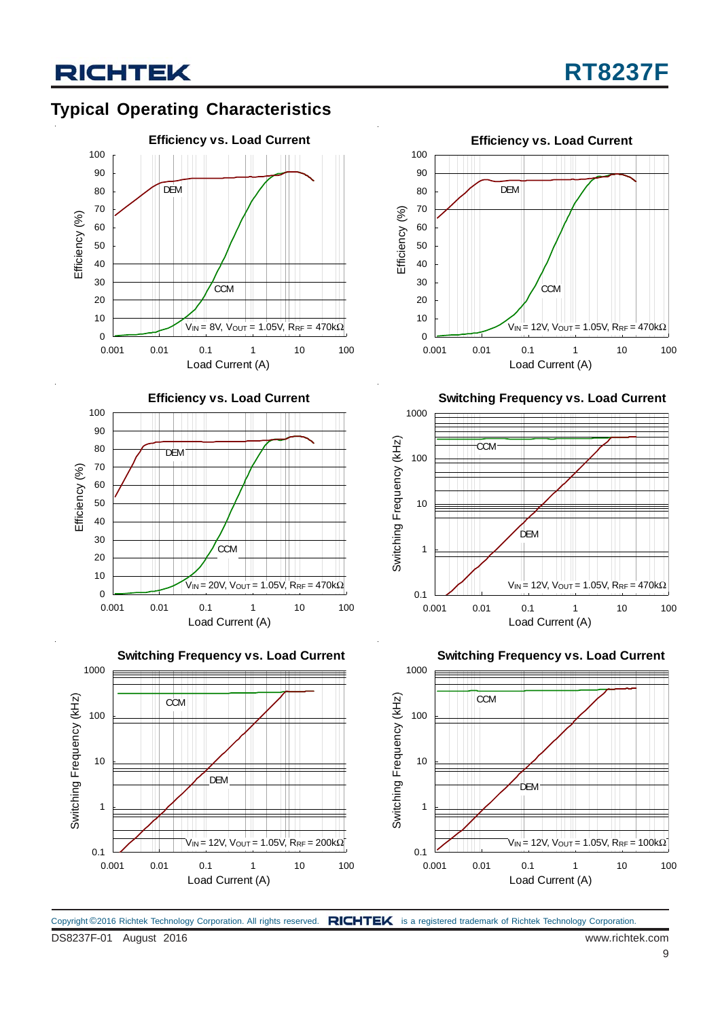## **Typical Operating Characteristics**

![](_page_8_Figure_3.jpeg)

![](_page_8_Figure_4.jpeg)

![](_page_8_Figure_5.jpeg)

![](_page_8_Figure_6.jpeg)

**Switching Frequency vs. Load Current**

![](_page_8_Figure_8.jpeg)

**Switching Frequency vs. Load Current**

![](_page_8_Figure_10.jpeg)

DS8237F-01 August 2016 www.richtek.com Copyright ©2016 Richtek Technology Corporation. All rights reserved. RICHTEK is a registered trademark of Richtek Technology Corporation.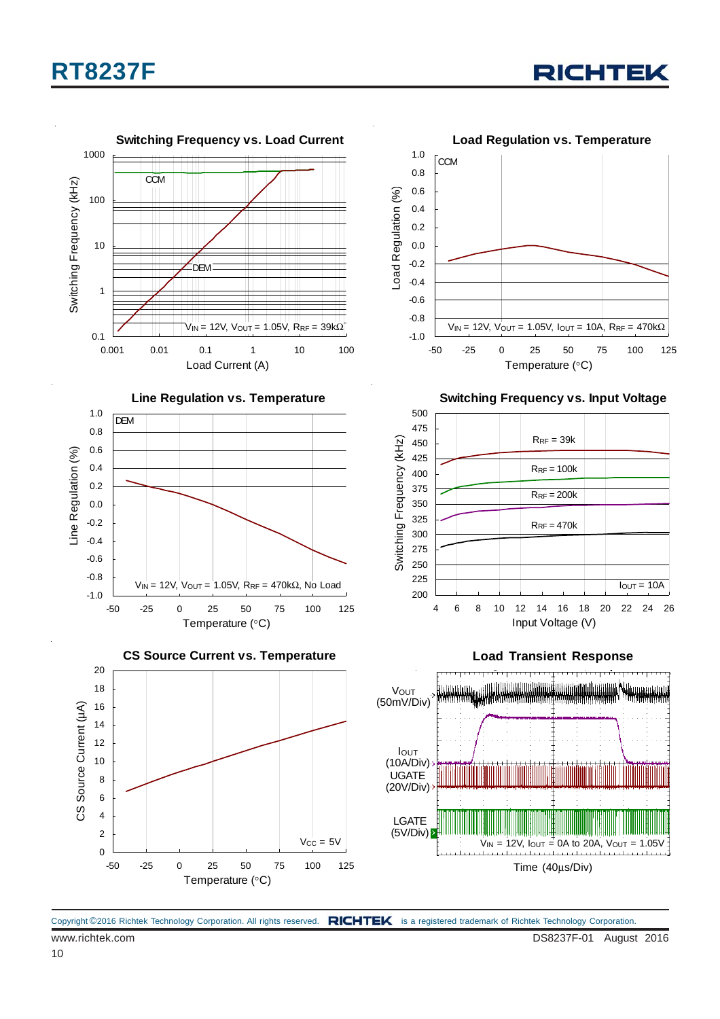![](_page_9_Picture_0.jpeg)

![](_page_9_Picture_1.jpeg)

![](_page_9_Figure_2.jpeg)

Copyright ©2016 Richtek Technology Corporation. All rights reserved. RICHTEK is a registered trademark of Richtek Technology Corporation.

10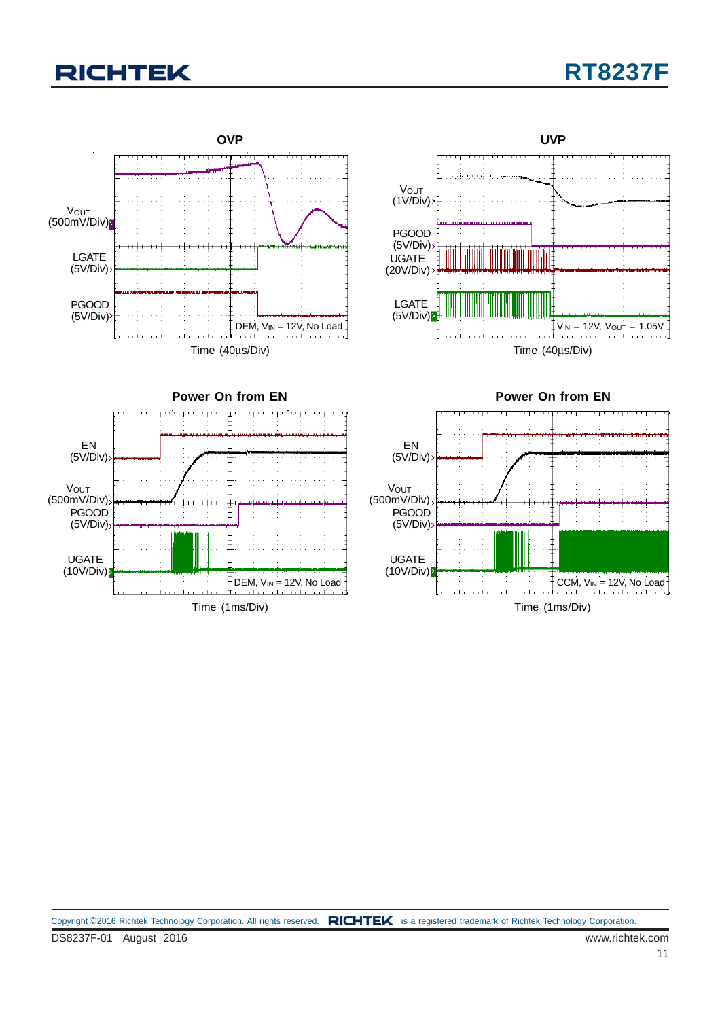## **RT8237F**

![](_page_10_Figure_2.jpeg)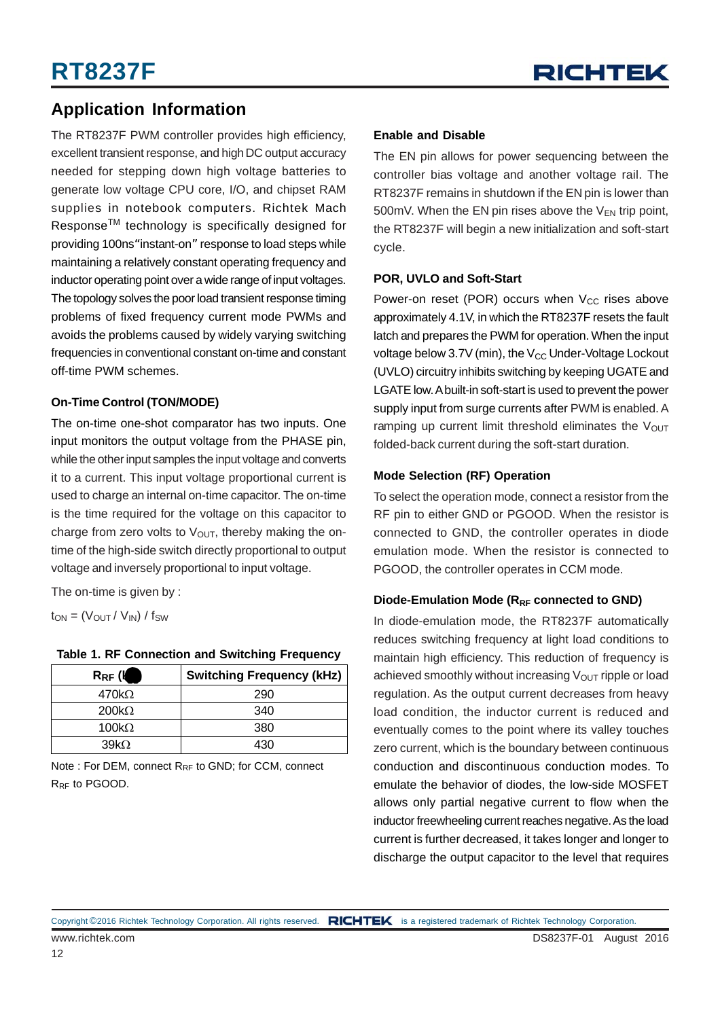### **Application Information**

The RT8237F PWM controller provides high efficiency, excellent transient response, and high DC output accuracy needed for stepping down high voltage batteries to generate low voltage CPU core, I/O, and chipset RAM supplies in notebook computers. Richtek Mach ResponseTM technology is specifically designed for providing 100ns"instant-on" response to load steps while maintaining a relatively constant operating frequency and inductor operating point over a wide range of input voltages. The topology solves the poor load transient response timing problems of fixed frequency current mode PWMs and avoids the problems caused by widely varying switching frequencies in conventional constant on-time and constant off-time PWM schemes.

#### **On-Time Control (TON/MODE)**

The on-time one-shot comparator has two inputs. One input monitors the output voltage from the PHASE pin, while the other input samples the input voltage and converts it to a current. This input voltage proportional current is used to charge an internal on-time capacitor. The on-time is the time required for the voltage on this capacitor to charge from zero volts to  $V<sub>OUT</sub>$ , thereby making the ontime of the high-side switch directly proportional to output voltage and inversely proportional to input voltage.

The on-time is given by :

 $t_{ON} = (V_{OUT} / V_{IN}) / f_{SW}$ 

| $R_{RF}$ ( $\blacksquare$ | <b>Switching Frequency (kHz)</b> |
|---------------------------|----------------------------------|
| 470k $\Omega$             | 290                              |
| $200k\Omega$              | 340                              |
| 100k $\Omega$             | 380                              |
| 39k <sub>2</sub>          | 430                              |

#### **Table 1. RF Connection and Switching Frequency**

Note : For DEM, connect R<sub>RF</sub> to GND; for CCM, connect R<sub>RF</sub> to PGOOD.

#### **Enable and Disable**

The EN pin allows for power sequencing between the controller bias voltage and another voltage rail. The RT8237F remains in shutdown if the EN pin is lower than 500mV. When the EN pin rises above the  $V_{FN}$  trip point, the RT8237F will begin a new initialization and soft-start cycle.

#### **POR, UVLO and Soft-Start**

Power-on reset (POR) occurs when  $V_{CC}$  rises above approximately 4.1V, in which the RT8237F resets the fault latch and prepares the PWM for operation. When the input voltage below 3.7V (min), the  $V_{CC}$  Under-Voltage Lockout (UVLO) circuitry inhibits switching by keeping UGATE and LGATE low. A built-in soft-start is used to prevent the power supply input from surge currents after PWM is enabled. A ramping up current limit threshold eliminates the  $V_{\text{OUT}}$ folded-back current during the soft-start duration.

#### **Mode Selection (RF) Operation**

To select the operation mode, connect a resistor from the RF pin to either GND or PGOOD. When the resistor is connected to GND, the controller operates in diode emulation mode. When the resistor is connected to PGOOD, the controller operates in CCM mode.

#### **Diode-Emulation Mode (RRF connected to GND)**

In diode-emulation mode, the RT8237F automatically reduces switching frequency at light load conditions to maintain high efficiency. This reduction of frequency is achieved smoothly without increasing  $V_{\text{OUT}}$  ripple or load regulation. As the output current decreases from heavy load condition, the inductor current is reduced and eventually comes to the point where its valley touches zero current, which is the boundary between continuous conduction and discontinuous conduction modes. To emulate the behavior of diodes, the low-side MOSFET allows only partial negative current to flow when the inductor freewheeling current reaches negative. As the load current is further decreased, it takes longer and longer to discharge the output capacitor to the level that requires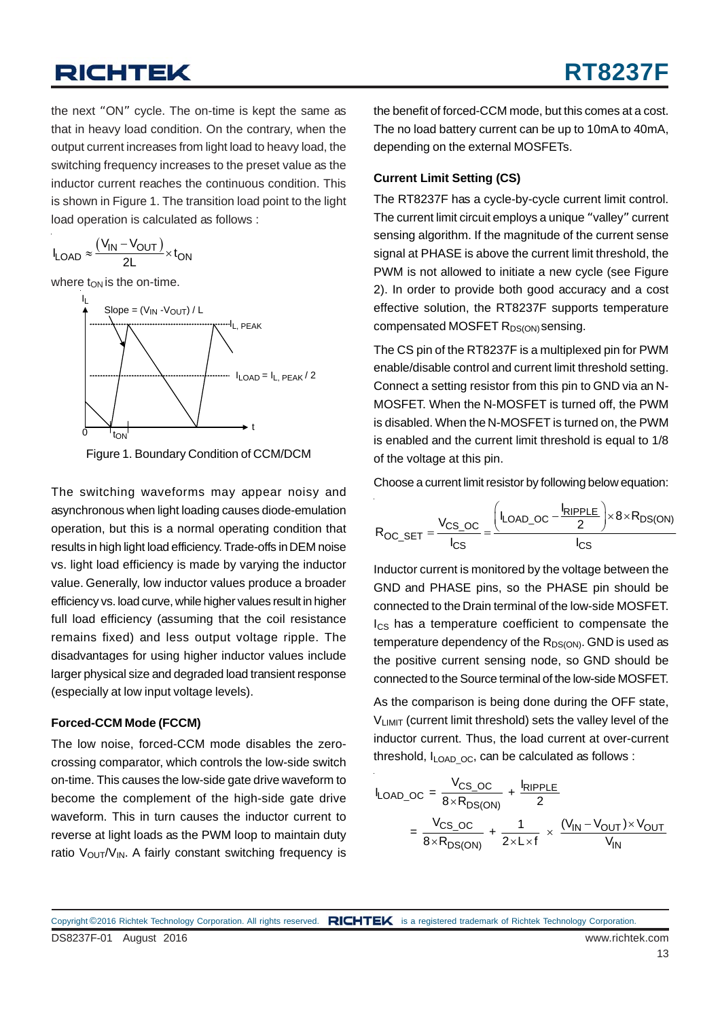the next "ON" cycle. The on-time is kept the same as that in heavy load condition. On the contrary, when the output current increases from light load to heavy load, the switching frequency increases to the preset value as the inductor current reaches the continuous condition. This is shown in Figure 1. The transition load point to the light load operation is calculated as follows :

$$
I_{\text{LOAD}} \approx \frac{(V_{\text{IN}} - V_{\text{OUT}})}{2L} \times t_{\text{ON}}
$$

where  $t_{ON}$  is the on-time.

![](_page_12_Figure_5.jpeg)

![](_page_12_Figure_6.jpeg)

The switching waveforms may appear noisy and asynchronous when light loading causes diode-emulation operation, but this is a normal operating condition that results in high light load efficiency. Trade-offs in DEM noise vs. light load efficiency is made by varying the inductor value. Generally, low inductor values produce a broader efficiency vs. load curve, while higher values result in higher full load efficiency (assuming that the coil resistance remains fixed) and less output voltage ripple. The disadvantages for using higher inductor values include larger physical size and degraded load transient response (especially at low input voltage levels).

#### **Forced-CCM Mode (FCCM)**

The low noise, forced-CCM mode disables the zerocrossing comparator, which controls the low-side switch on-time. This causes the low-side gate drive waveform to become the complement of the high-side gate drive waveform. This in turn causes the inductor current to reverse at light loads as the PWM loop to maintain duty ratio  $V_{\text{OUT}}/V_{\text{IN}}$ . A fairly constant switching frequency is

the benefit of forced-CCM mode, but this comes at a cost. The no load battery current can be up to 10mA to 40mA, depending on the external MOSFETs.

#### **Current Limit Setting (CS)**

The RT8237F has a cycle-by-cycle current limit control. The current limit circuit employs a unique "valley" current sensing algorithm. If the magnitude of the current sense signal at PHASE is above the current limit threshold, the PWM is not allowed to initiate a new cycle (see Figure 2). In order to provide both good accuracy and a cost effective solution, the RT8237F supports temperature compensated MOSFET R<sub>DS(ON)</sub> sensing.

The CS pin of the RT8237F is a multiplexed pin for PWM enable/disable control and current limit threshold setting. Connect a setting resistor from this pin to GND via an N-MOSFET. When the N-MOSFET is turned off, the PWM is disabled. When the N-MOSFET is turned on, the PWM is enabled and the current limit threshold is equal to 1/8 of the voltage at this pin.

Choose a current limit resistor by following below equation:

$$
R_{OC\_SET} = \frac{V_{CS\_OC}}{I_{CS}} = \frac{\left(I_{LOAD\_OC} - \frac{I_{RIPPLE}}{2}\right) \times 8 \times R_{DS(ON)}}{I_{CS}}
$$

Inductor current is monitored by the voltage between the GND and PHASE pins, so the PHASE pin should be connected to the Drain terminal of the low-side MOSFET. Ics has a temperature coefficient to compensate the temperature dependency of the  $R_{DS(ON)}$ . GND is used as the positive current sensing node, so GND should be connected to the Source terminal of the low-side MOSFET.

As the comparison is being done during the OFF state, VLIMIT (current limit threshold) sets the valley level of the inductor current. Thus, the load current at over-current threshold,  $I_{LOADOC}$ , can be calculated as follows :

$$
I_{\text{LOAD\_OC}} = \frac{V_{\text{CS\_OC}}}{8 \times R_{\text{DS(ON)}}} + \frac{I_{\text{RIPPLE}}}{2}
$$

$$
= \frac{V_{\text{CS\_OC}}}{8 \times R_{\text{DS(ON)}}} + \frac{1}{2 \times L \times f} \times \frac{(V_{\text{IN}} - V_{\text{OUT}}) \times V_{\text{OUT}}}{V_{\text{IN}}}
$$

DS8237F-01 August 2016 www.richtek.com Copyright ©2016 Richtek Technology Corporation. All rights reserved. RICHTEK is a registered trademark of Richtek Technology Corporation.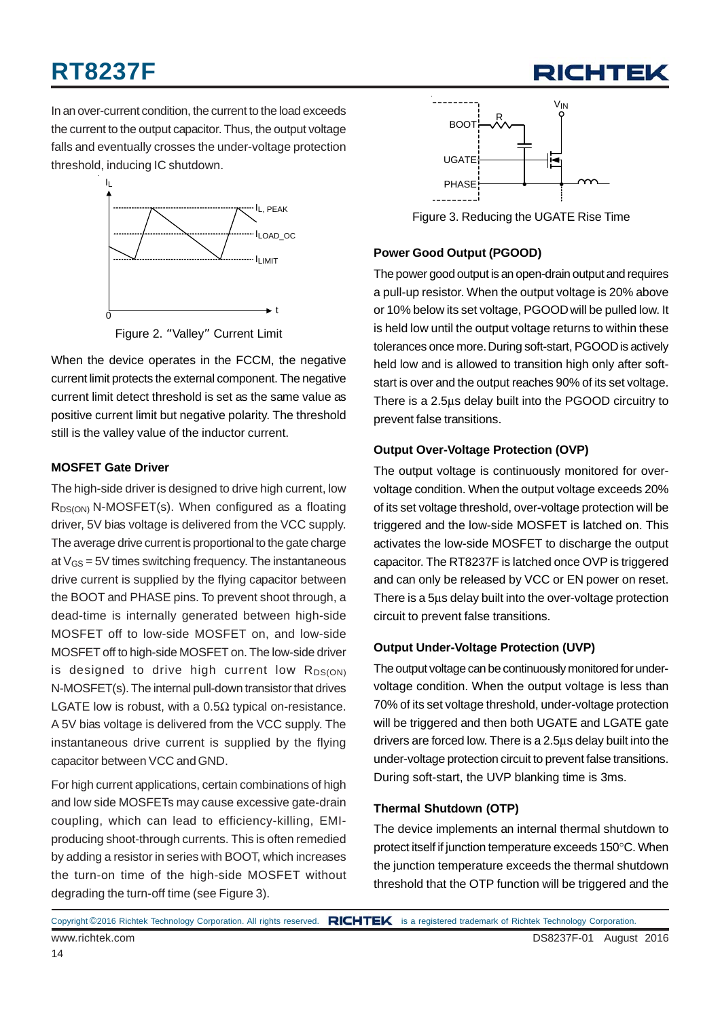## **RT8237F**

![](_page_13_Picture_1.jpeg)

In an over-current condition, the current to the load exceeds the current to the output capacitor. Thus, the output voltage falls and eventually crosses the under-voltage protection threshold, inducing IC shutdown.

![](_page_13_Figure_3.jpeg)

Figure 2. "Valley" Current Limit

When the device operates in the FCCM, the negative current limit protects the external component. The negative current limit detect threshold is set as the same value as positive current limit but negative polarity. The threshold still is the valley value of the inductor current.

#### **MOSFET Gate Driver**

The high-side driver is designed to drive high current, low  $R_{DS(ON)}$  N-MOSFET(s). When configured as a floating driver, 5V bias voltage is delivered from the VCC supply. The average drive current is proportional to the gate charge at  $V_{GS}$  = 5V times switching frequency. The instantaneous drive current is supplied by the flying capacitor between the BOOT and PHASE pins. To prevent shoot through, a dead-time is internally generated between high-side MOSFET off to low-side MOSFET on, and low-side MOSFET off to high-side MOSFET on. The low-side driver is designed to drive high current low  $R_{DS(ON)}$ N-MOSFET(s). The internal pull-down transistor that drives LGATE low is robust, with a  $0.5\Omega$  typical on-resistance. A 5V bias voltage is delivered from the VCC supply. The instantaneous drive current is supplied by the flying capacitor between VCC and GND.

For high current applications, certain combinations of high and low side MOSFETs may cause excessive gate-drain coupling, which can lead to efficiency-killing, EMIproducing shoot-through currents. This is often remedied by adding a resistor in series with BOOT, which increases the turn-on time of the high-side MOSFET without degrading the turn-off time (see Figure 3).

![](_page_13_Figure_9.jpeg)

Figure 3. Reducing the UGATE Rise Time

#### **Power Good Output (PGOOD)**

The power good output is an open-drain output and requires a pull-up resistor. When the output voltage is 20% above or 10% below its set voltage, PGOOD will be pulled low. It is held low until the output voltage returns to within these tolerances once more. During soft-start, PGOOD is actively held low and is allowed to transition high only after softstart is over and the output reaches 90% of its set voltage. There is a 2.5μs delay built into the PGOOD circuitry to prevent false transitions.

#### **Output Over-Voltage Protection (OVP)**

The output voltage is continuously monitored for overvoltage condition. When the output voltage exceeds 20% of its set voltage threshold, over-voltage protection will be triggered and the low-side MOSFET is latched on. This activates the low-side MOSFET to discharge the output capacitor. The RT8237F is latched once OVP is triggered and can only be released by VCC or EN power on reset. There is a 5μs delay built into the over-voltage protection circuit to prevent false transitions.

#### **Output Under-Voltage Protection (UVP)**

The output voltage can be continuously monitored for undervoltage condition. When the output voltage is less than 70% of its set voltage threshold, under-voltage protection will be triggered and then both UGATE and LGATE gate drivers are forced low. There is a 2.5μs delay built into the under-voltage protection circuit to prevent false transitions. During soft-start, the UVP blanking time is 3ms.

#### **Thermal Shutdown (OTP)**

The device implements an internal thermal shutdown to protect itself if junction temperature exceeds 150°C. When the junction temperature exceeds the thermal shutdown threshold that the OTP function will be triggered and the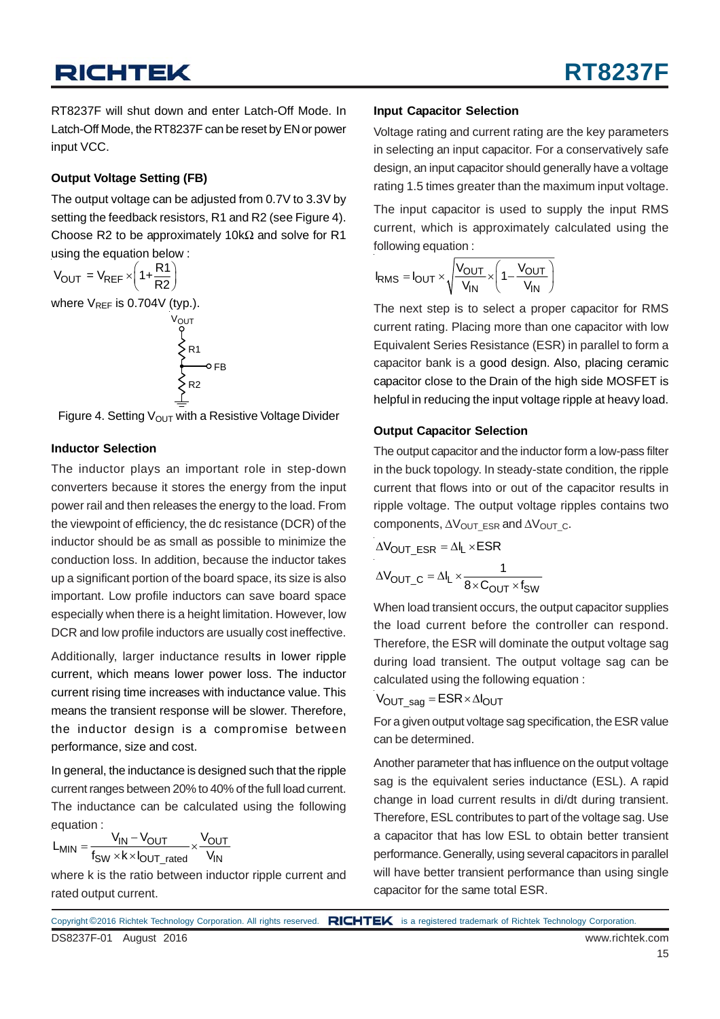RT8237F will shut down and enter Latch-Off Mode. In Latch-Off Mode, the RT8237F can be reset by EN or power input VCC.

#### **Output Voltage Setting (FB)**

The output voltage can be adjusted from 0.7V to 3.3V by setting the feedback resistors, R1 and R2 (see Figure 4). Choose R2 to be approximately 10k $\Omega$  and solve for R1 using the equation below :

$$
V_{OUT} = V_{REF} \times \left(1 + \frac{R1}{R2}\right)
$$
  
where  $V_{REF}$  is 0.704V (typ.).  

$$
V_{OUT}
$$
  

$$
\begin{cases}\nR1 \\
R1 \\
R2\n\end{cases}
$$

Figure 4. Setting  $V_{\text{OUT}}$  with a Resistive Voltage Divider

#### **Inductor Selection**

The inductor plays an important role in step-down converters because it stores the energy from the input power rail and then releases the energy to the load. From the viewpoint of efficiency, the dc resistance (DCR) of the inductor should be as small as possible to minimize the conduction loss. In addition, because the inductor takes up a significant portion of the board space, its size is also important. Low profile inductors can save board space especially when there is a height limitation. However, low DCR and low profile inductors are usually cost ineffective.

Additionally, larger inductance results in lower ripple current, which means lower power loss. The inductor current rising time increases with inductance value. This means the transient response will be slower. Therefore, the inductor design is a compromise between performance, size and cost.

In general, the inductance is designed such that the ripple current ranges between 20% to 40% of the full load current. The inductance can be calculated using the following equation :

 $\text{min} = \frac{\text{v}_{\text{IN}} - \text{v}_{\text{OUT}}}{\text{f}_{\text{SW}} \times \text{k} \times \text{I}_{\text{OUT\_rated}}} \times \frac{\text{v}_{\text{OUT}}}{\text{V}_{\text{IN}}}$  $L_{MIN} = \frac{V_{IN} - V_{OUT}}{f_{SW} \times k \times I_{OUT} \text{ rated}} \times \frac{V_{O}}{V_{IV}}$ 

where k is the ratio between inductor ripple current and rated output current.

#### **Input Capacitor Selection**

Voltage rating and current rating are the key parameters in selecting an input capacitor. For a conservatively safe design, an input capacitor should generally have a voltage rating 1.5 times greater than the maximum input voltage.

The input capacitor is used to supply the input RMS current, which is approximately calculated using the following equation :

$$
I_{RMS} = I_{OUT} \times \sqrt{\frac{V_{OUT}}{V_{IN}}} \times \left(1 - \frac{V_{OUT}}{V_{IN}}\right)
$$

The next step is to select a proper capacitor for RMS current rating. Placing more than one capacitor with low Equivalent Series Resistance (ESR) in parallel to form a capacitor bank is a good design. Also, placing ceramic capacitor close to the Drain of the high side MOSFET is helpful in reducing the input voltage ripple at heavy load.

#### **Output Capacitor Selection**

The output capacitor and the inductor form a low-pass filter in the buck topology. In steady-state condition, the ripple current that flows into or out of the capacitor results in ripple voltage. The output voltage ripples contains two components,  $\Delta V_{\text{OUT}}$  ESR and  $\Delta V_{\text{OUT}}$  c.

$$
\Delta V_{OUT\_ESR} = \Delta I_L \times ESR
$$

$$
\Delta V_{OUT\_C} = \Delta I_L \times \frac{1}{8 \times C_{OUT} \times f_{SW}}
$$

When load transient occurs, the output capacitor supplies the load current before the controller can respond. Therefore, the ESR will dominate the output voltage sag during load transient. The output voltage sag can be calculated using the following equation :

$$
V_{OUT\_sag} = ESR \times \Delta I_{OUT}
$$

For a given output voltage sag specification, the ESR value can be determined.

Another parameter that has influence on the output voltage sag is the equivalent series inductance (ESL). A rapid change in load current results in di/dt during transient. Therefore, ESL contributes to part of the voltage sag. Use a capacitor that has low ESL to obtain better transient performance. Generally, using several capacitors in parallel will have better transient performance than using single capacitor for the same total ESR.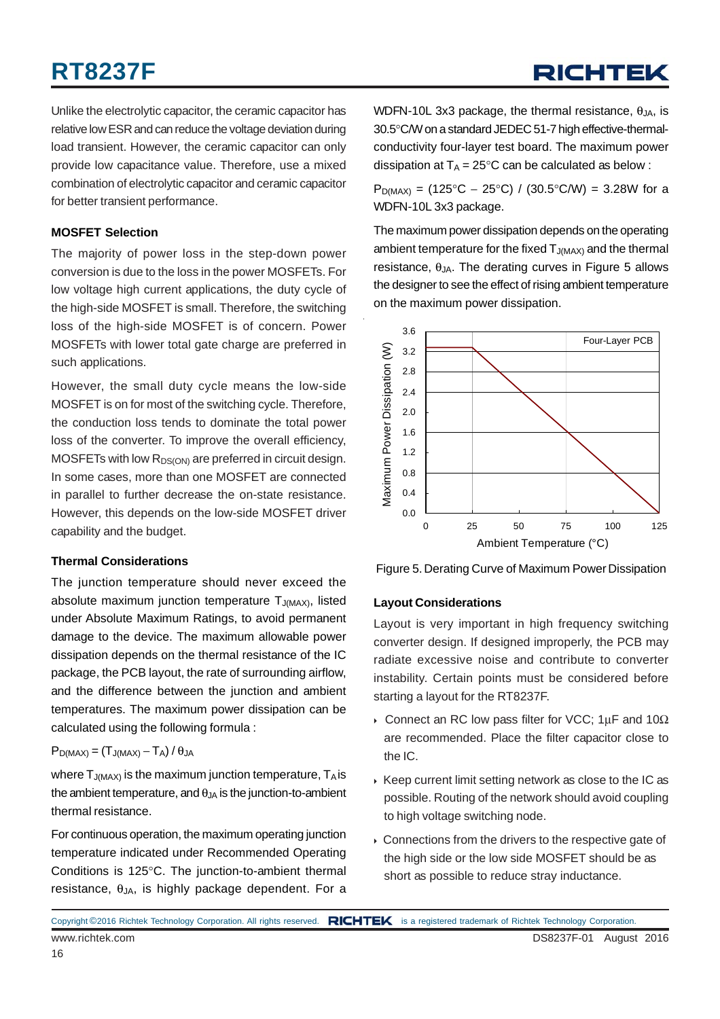## **RT8237F**

Unlike the electrolytic capacitor, the ceramic capacitor has relative low ESR and can reduce the voltage deviation during load transient. However, the ceramic capacitor can only provide low capacitance value. Therefore, use a mixed combination of electrolytic capacitor and ceramic capacitor for better transient performance.

#### **MOSFET Selection**

The majority of power loss in the step-down power conversion is due to the loss in the power MOSFETs. For low voltage high current applications, the duty cycle of the high-side MOSFET is small. Therefore, the switching loss of the high-side MOSFET is of concern. Power MOSFETs with lower total gate charge are preferred in such applications.

However, the small duty cycle means the low-side MOSFET is on for most of the switching cycle. Therefore, the conduction loss tends to dominate the total power loss of the converter. To improve the overall efficiency, MOSFETs with low  $R_{DS(ON)}$  are preferred in circuit design. In some cases, more than one MOSFET are connected in parallel to further decrease the on-state resistance. However, this depends on the low-side MOSFET driver capability and the budget.

#### **Thermal Considerations**

The junction temperature should never exceed the absolute maximum junction temperature  $T_{J(MAX)}$ , listed under Absolute Maximum Ratings, to avoid permanent damage to the device. The maximum allowable power dissipation depends on the thermal resistance of the IC package, the PCB layout, the rate of surrounding airflow, and the difference between the junction and ambient temperatures. The maximum power dissipation can be calculated using the following formula :

$$
P_{D(MAX)}=\left(T_{J(MAX)}-T_A\right)/\,\theta_{JA}
$$

where  $T_{J(MAX)}$  is the maximum junction temperature,  $T_A$  is the ambient temperature, and  $\theta_{JA}$  is the junction-to-ambient thermal resistance.

For continuous operation, the maximum operating junction temperature indicated under Recommended Operating Conditions is 125°C. The junction-to-ambient thermal resistance,  $\theta_{JA}$ , is highly package dependent. For a WDFN-10L 3x3 package, the thermal resistance,  $\theta_{JA}$ , is 30.5°C/W on a standard JEDEC 51-7 high effective-thermalconductivity four-layer test board. The maximum power dissipation at  $T_A = 25^{\circ}C$  can be calculated as below :

 $P_{D(MAX)} = (125^{\circ}C - 25^{\circ}C) / (30.5^{\circ}C/W) = 3.28W$  for a WDFN-10L 3x3 package.

The maximum power dissipation depends on the operating ambient temperature for the fixed  $T_{J(MAX)}$  and the thermal resistance,  $\theta_{JA}$ . The derating curves in Figure 5 allows the designer to see the effect of rising ambient temperature on the maximum power dissipation.

![](_page_15_Figure_14.jpeg)

Figure 5. Derating Curve of Maximum Power Dissipation

#### **Layout Considerations**

Layout is very important in high frequency switching converter design. If designed improperly, the PCB may radiate excessive noise and contribute to converter instability. Certain points must be considered before starting a layout for the RT8237F.

- Connect an RC low pass filter for VCC; 1μF and 10Ω are recommended. Place the filter capacitor close to the IC.
- $\triangleright$  Keep current limit setting network as close to the IC as possible. Routing of the network should avoid coupling to high voltage switching node.
- Connections from the drivers to the respective gate of the high side or the low side MOSFET should be as short as possible to reduce stray inductance.

Copyright ©2016 Richtek Technology Corporation. All rights reserved. RICHTEK is a registered trademark of Richtek Technology Corporation.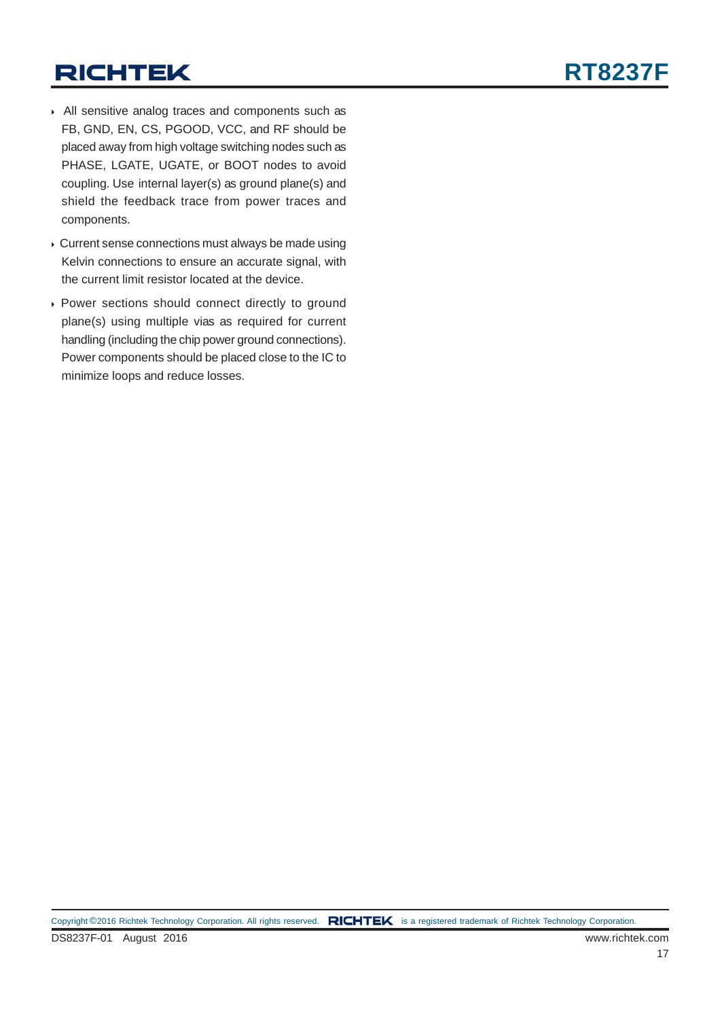- All sensitive analog traces and components such as FB, GND, EN, CS, PGOOD, VCC, and RF should be placed away from high voltage switching nodes such as PHASE, LGATE, UGATE, or BOOT nodes to avoid coupling. Use internal layer(s) as ground plane(s) and shield the feedback trace from power traces and components.
- Current sense connections must always be made using Kelvin connections to ensure an accurate signal, with the current limit resistor located at the device.
- Power sections should connect directly to ground plane(s) using multiple vias as required for current handling (including the chip power ground connections). Power components should be placed close to the IC to minimize loops and reduce losses.